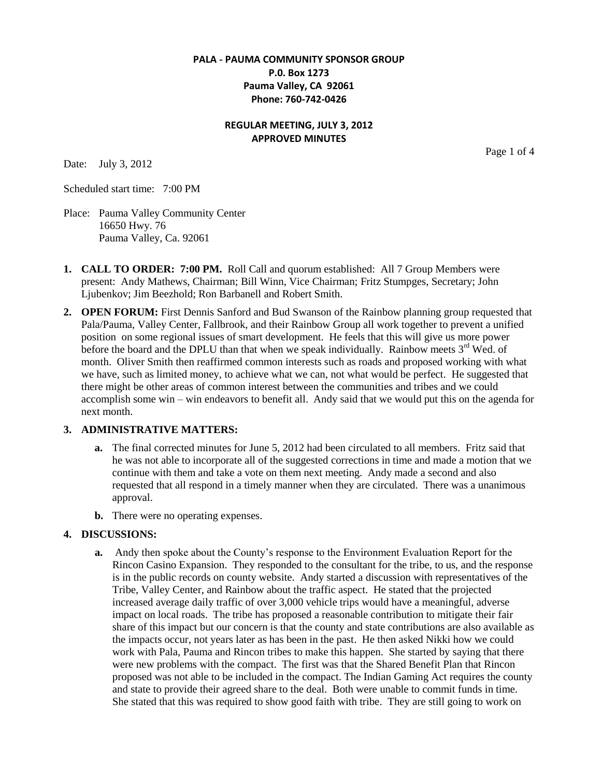# **PALA - PAUMA COMMUNITY SPONSOR GROUP P.0. Box 1273 Pauma Valley, CA 92061 Phone: 760-742-0426**

## **REGULAR MEETING, JULY 3, 2012 APPROVED MINUTES**

Date: July 3, 2012

Scheduled start time: 7:00 PM

Place: Pauma Valley Community Center 16650 Hwy. 76 Pauma Valley, Ca. 92061

- **1. CALL TO ORDER: 7:00 PM.** Roll Call and quorum established: All 7 Group Members were present: Andy Mathews, Chairman; Bill Winn, Vice Chairman; Fritz Stumpges, Secretary; John Ljubenkov; Jim Beezhold; Ron Barbanell and Robert Smith.
- **2. OPEN FORUM:** First Dennis Sanford and Bud Swanson of the Rainbow planning group requested that Pala/Pauma, Valley Center, Fallbrook, and their Rainbow Group all work together to prevent a unified position on some regional issues of smart development. He feels that this will give us more power before the board and the DPLU than that when we speak individually. Rainbow meets  $3<sup>rd</sup>$  Wed. of month. Oliver Smith then reaffirmed common interests such as roads and proposed working with what we have, such as limited money, to achieve what we can, not what would be perfect. He suggested that there might be other areas of common interest between the communities and tribes and we could accomplish some win – win endeavors to benefit all. Andy said that we would put this on the agenda for next month.

#### **3. ADMINISTRATIVE MATTERS:**

- **a.** The final corrected minutes for June 5, 2012 had been circulated to all members. Fritz said that he was not able to incorporate all of the suggested corrections in time and made a motion that we continue with them and take a vote on them next meeting. Andy made a second and also requested that all respond in a timely manner when they are circulated. There was a unanimous approval.
- **b.** There were no operating expenses.

#### **4. DISCUSSIONS:**

**a.** Andy then spoke about the County's response to the Environment Evaluation Report for the Rincon Casino Expansion. They responded to the consultant for the tribe, to us, and the response is in the public records on county website. Andy started a discussion with representatives of the Tribe, Valley Center, and Rainbow about the traffic aspect. He stated that the projected increased average daily traffic of over 3,000 vehicle trips would have a meaningful, adverse impact on local roads. The tribe has proposed a reasonable contribution to mitigate their fair share of this impact but our concern is that the county and state contributions are also available as the impacts occur, not years later as has been in the past. He then asked Nikki how we could work with Pala, Pauma and Rincon tribes to make this happen. She started by saying that there were new problems with the compact. The first was that the Shared Benefit Plan that Rincon proposed was not able to be included in the compact. The Indian Gaming Act requires the county and state to provide their agreed share to the deal. Both were unable to commit funds in time. She stated that this was required to show good faith with tribe. They are still going to work on

Page 1 of 4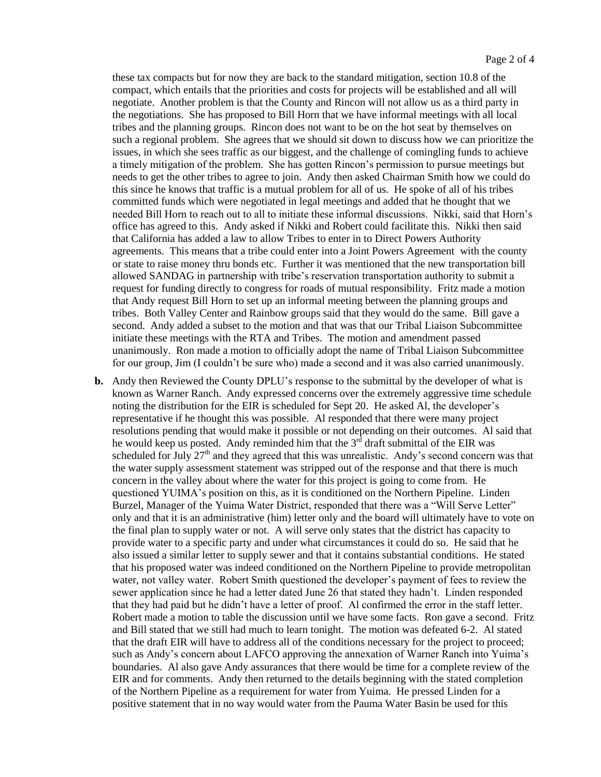these tax compacts but for now they are back to the standard mitigation, section 10.8 of the compact, which entails that the priorities and costs for projects will be established and all will negotiate. Another problem is that the County and Rincon will not allow us as a third party in the negotiations. She has proposed to Bill Horn that we have informal meetings with all local tribes and the planning groups. Rincon does not want to be on the hot seat by themselves on such a regional problem. She agrees that we should sit down to discuss how we can prioritize the issues, in which she sees traffic as our biggest, and the challenge of comingling funds to achieve a timely mitigation of the problem. She has gotten Rincon's permission to pursue meetings but needs to get the other tribes to agree to join. Andy then asked Chairman Smith how we could do this since he knows that traffic is a mutual problem for all of us. He spoke of all of his tribes committed funds which were negotiated in legal meetings and added that he thought that we needed Bill Horn to reach out to all to initiate these informal discussions. Nikki, said that Horn's office has agreed to this. Andy asked if Nikki and Robert could facilitate this. Nikki then said that California has added a law to allow Tribes to enter in to Direct Powers Authority agreements. This means that a tribe could enter into a Joint Powers Agreement with the county or state to raise money thru bonds etc. Further it was mentioned that the new transportation bill allowed SANDAG in partnership with tribe's reservation transportation authority to submit a request for funding directly to congress for roads of mutual responsibility. Fritz made a motion that Andy request Bill Horn to set up an informal meeting between the planning groups and tribes. Both Valley Center and Rainbow groups said that they would do the same. Bill gave a second. Andy added a subset to the motion and that was that our Tribal Liaison Subcommittee initiate these meetings with the RTA and Tribes. The motion and amendment passed unanimously. Ron made a motion to officially adopt the name of Tribal Liaison Subcommittee for our group, Jim (I couldn't be sure who) made a second and it was also carried unanimously.

**b.** Andy then Reviewed the County DPLU's response to the submittal by the developer of what is known as Warner Ranch. Andy expressed concerns over the extremely aggressive time schedule noting the distribution for the EIR is scheduled for Sept 20. He asked Al, the developer's representative if he thought this was possible. Al responded that there were many project resolutions pending that would make it possible or not depending on their outcomes. Al said that he would keep us posted. Andy reminded him that the  $3<sup>rd</sup>$  draft submittal of the EIR was scheduled for July  $27<sup>th</sup>$  and they agreed that this was unrealistic. Andy's second concern was that the water supply assessment statement was stripped out of the response and that there is much concern in the valley about where the water for this project is going to come from. He questioned YUIMA's position on this, as it is conditioned on the Northern Pipeline. Linden Burzel, Manager of the Yuima Water District, responded that there was a "Will Serve Letter" only and that it is an administrative (him) letter only and the board will ultimately have to vote on the final plan to supply water or not. A will serve only states that the district has capacity to provide water to a specific party and under what circumstances it could do so. He said that he also issued a similar letter to supply sewer and that it contains substantial conditions. He stated that his proposed water was indeed conditioned on the Northern Pipeline to provide metropolitan water, not valley water. Robert Smith questioned the developer's payment of fees to review the sewer application since he had a letter dated June 26 that stated they hadn't. Linden responded that they had paid but he didn't have a letter of proof. Al confirmed the error in the staff letter. Robert made a motion to table the discussion until we have some facts. Ron gave a second. Fritz and Bill stated that we still had much to learn tonight. The motion was defeated 6-2. Al stated that the draft EIR will have to address all of the conditions necessary for the project to proceed; such as Andy's concern about LAFCO approving the annexation of Warner Ranch into Yuima's boundaries. Al also gave Andy assurances that there would be time for a complete review of the EIR and for comments. Andy then returned to the details beginning with the stated completion of the Northern Pipeline as a requirement for water from Yuima. He pressed Linden for a positive statement that in no way would water from the Pauma Water Basin be used for this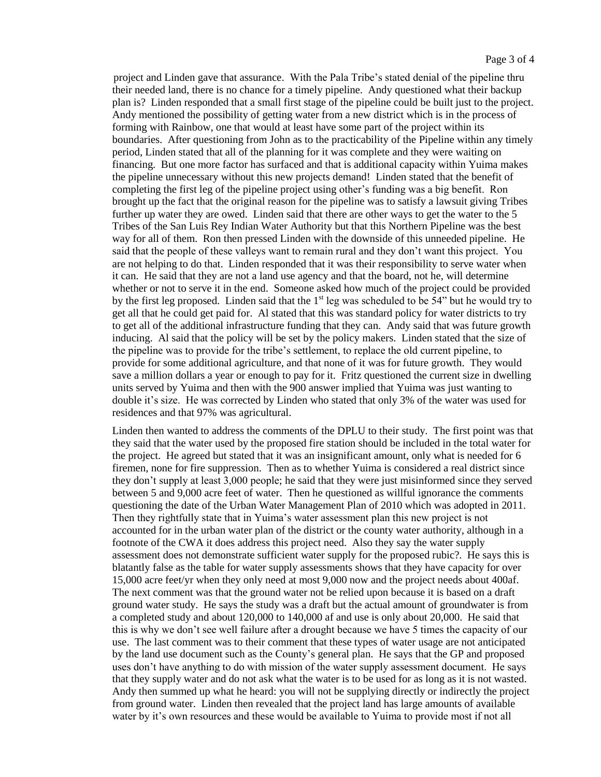project and Linden gave that assurance. With the Pala Tribe's stated denial of the pipeline thru their needed land, there is no chance for a timely pipeline. Andy questioned what their backup plan is? Linden responded that a small first stage of the pipeline could be built just to the project. Andy mentioned the possibility of getting water from a new district which is in the process of forming with Rainbow, one that would at least have some part of the project within its boundaries. After questioning from John as to the practicability of the Pipeline within any timely period, Linden stated that all of the planning for it was complete and they were waiting on financing. But one more factor has surfaced and that is additional capacity within Yuima makes the pipeline unnecessary without this new projects demand! Linden stated that the benefit of completing the first leg of the pipeline project using other's funding was a big benefit. Ron brought up the fact that the original reason for the pipeline was to satisfy a lawsuit giving Tribes further up water they are owed. Linden said that there are other ways to get the water to the 5 Tribes of the San Luis Rey Indian Water Authority but that this Northern Pipeline was the best way for all of them. Ron then pressed Linden with the downside of this unneeded pipeline. He said that the people of these valleys want to remain rural and they don't want this project. You are not helping to do that. Linden responded that it was their responsibility to serve water when it can. He said that they are not a land use agency and that the board, not he, will determine whether or not to serve it in the end. Someone asked how much of the project could be provided by the first leg proposed. Linden said that the  $1<sup>st</sup>$  leg was scheduled to be 54" but he would try to get all that he could get paid for. Al stated that this was standard policy for water districts to try to get all of the additional infrastructure funding that they can. Andy said that was future growth inducing. Al said that the policy will be set by the policy makers. Linden stated that the size of the pipeline was to provide for the tribe's settlement, to replace the old current pipeline, to provide for some additional agriculture, and that none of it was for future growth. They would save a million dollars a year or enough to pay for it. Fritz questioned the current size in dwelling units served by Yuima and then with the 900 answer implied that Yuima was just wanting to double it's size. He was corrected by Linden who stated that only 3% of the water was used for residences and that 97% was agricultural.

Linden then wanted to address the comments of the DPLU to their study. The first point was that they said that the water used by the proposed fire station should be included in the total water for the project. He agreed but stated that it was an insignificant amount, only what is needed for 6 firemen, none for fire suppression. Then as to whether Yuima is considered a real district since they don't supply at least 3,000 people; he said that they were just misinformed since they served between 5 and 9,000 acre feet of water. Then he questioned as willful ignorance the comments questioning the date of the Urban Water Management Plan of 2010 which was adopted in 2011. Then they rightfully state that in Yuima's water assessment plan this new project is not accounted for in the urban water plan of the district or the county water authority, although in a footnote of the CWA it does address this project need. Also they say the water supply assessment does not demonstrate sufficient water supply for the proposed rubic?. He says this is blatantly false as the table for water supply assessments shows that they have capacity for over 15,000 acre feet/yr when they only need at most 9,000 now and the project needs about 400af. The next comment was that the ground water not be relied upon because it is based on a draft ground water study. He says the study was a draft but the actual amount of groundwater is from a completed study and about 120,000 to 140,000 af and use is only about 20,000. He said that this is why we don't see well failure after a drought because we have 5 times the capacity of our use. The last comment was to their comment that these types of water usage are not anticipated by the land use document such as the County's general plan. He says that the GP and proposed uses don't have anything to do with mission of the water supply assessment document. He says that they supply water and do not ask what the water is to be used for as long as it is not wasted. Andy then summed up what he heard: you will not be supplying directly or indirectly the project from ground water. Linden then revealed that the project land has large amounts of available water by it's own resources and these would be available to Yuima to provide most if not all